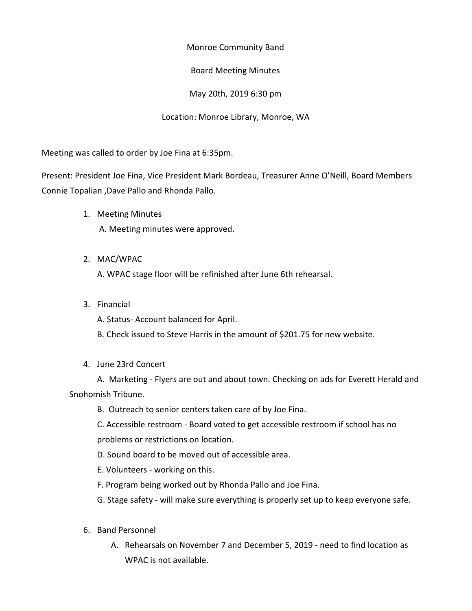Monroe Community Band

## Board Meeting Minutes

May 20th, 2019 6:30 pm

## Location: Monroe Library, Monroe, WA

Meeting was called to order by Joe Fina at 6:35pm.

Present: President Joe Fina, Vice President Mark Bordeau, Treasurer Anne O'Neill, Board Members Connie Topalian ,Dave Pallo and Rhonda Pallo.

- 1. Meeting Minutes A. Meeting minutes were approved.
- 2. MAC/WPAC

A. WPAC stage floor will be refinished after June 6th rehearsal.

3. Financial

A. Status- Account balanced for April.

B. Check issued to Steve Harris in the amount of \$201.75 for new website.

4. June 23rd Concert

A. Marketing - Flyers are out and about town. Checking on ads for Everett Herald and Snohomish Tribune.

B. Outreach to senior centers taken care of by Joe Fina.

C. Accessible restroom - Board voted to get accessible restroom if school has no problems or restrictions on location.

- D. Sound board to be moved out of accessible area.
- E. Volunteers working on this.
- F. Program being worked out by Rhonda Pallo and Joe Fina.
- G. Stage safety will make sure everything is properly set up to keep everyone safe.
- 6. Band Personnel
	- A. Rehearsals on November 7 and December 5, 2019 need to find location as WPAC is not available.